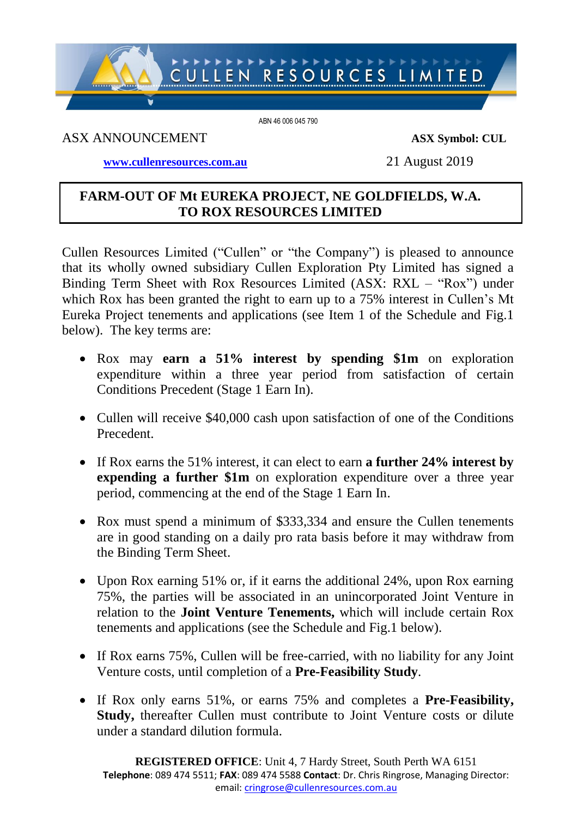# CULLEN RESOURCES LIMITED

ABN 46 006 045 790

# ASX ANNOUNCEMENT **ASX Symbol: CUL**

**[www.cullenresources.com.au](http://www.cullenresources.com.au/)** 21 August 2019

# **FARM-OUT OF Mt EUREKA PROJECT, NE GOLDFIELDS, W.A. TO ROX RESOURCES LIMITED**

Cullen Resources Limited ("Cullen" or "the Company") is pleased to announce that its wholly owned subsidiary Cullen Exploration Pty Limited has signed a Binding Term Sheet with Rox Resources Limited (ASX: RXL – "Rox") under which Rox has been granted the right to earn up to a 75% interest in Cullen's Mt Eureka Project tenements and applications (see Item 1 of the Schedule and Fig.1 below). The key terms are:

- Rox may **earn a 51% interest by spending \$1m** on exploration expenditure within a three year period from satisfaction of certain Conditions Precedent (Stage 1 Earn In).
- Cullen will receive \$40,000 cash upon satisfaction of one of the Conditions Precedent.
- If Rox earns the 51% interest, it can elect to earn **a further 24% interest by expending a further \$1m** on exploration expenditure over a three year period, commencing at the end of the Stage 1 Earn In.
- Rox must spend a minimum of \$333,334 and ensure the Cullen tenements are in good standing on a daily pro rata basis before it may withdraw from the Binding Term Sheet.
- Upon Rox earning 51% or, if it earns the additional 24%, upon Rox earning 75%, the parties will be associated in an unincorporated Joint Venture in relation to the **Joint Venture Tenements,** which will include certain Rox tenements and applications (see the Schedule and Fig.1 below).
- If Rox earns 75%, Cullen will be free-carried, with no liability for any Joint Venture costs, until completion of a **Pre-Feasibility Study**.
- If Rox only earns 51%, or earns 75% and completes a **Pre-Feasibility, Study,** thereafter Cullen must contribute to Joint Venture costs or dilute under a standard dilution formula.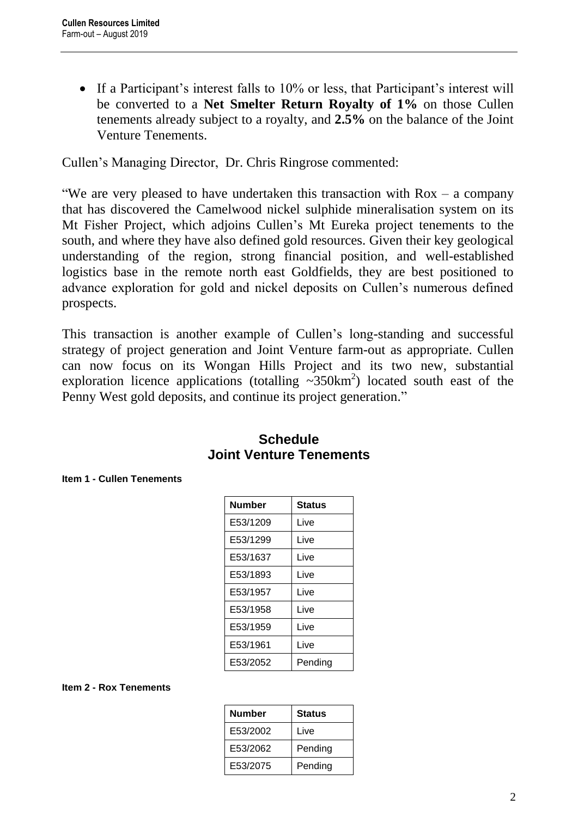• If a Participant's interest falls to 10% or less, that Participant's interest will be converted to a **Net Smelter Return Royalty of 1%** on those Cullen tenements already subject to a royalty, and **2.5%** on the balance of the Joint Venture Tenements.

Cullen's Managing Director, Dr. Chris Ringrose commented:

"We are very pleased to have undertaken this transaction with  $Rox - a$  company that has discovered the Camelwood nickel sulphide mineralisation system on its Mt Fisher Project, which adjoins Cullen's Mt Eureka project tenements to the south, and where they have also defined gold resources. Given their key geological understanding of the region, strong financial position, and well-established logistics base in the remote north east Goldfields, they are best positioned to advance exploration for gold and nickel deposits on Cullen's numerous defined prospects.

This transaction is another example of Cullen's long-standing and successful strategy of project generation and Joint Venture farm-out as appropriate. Cullen can now focus on its Wongan Hills Project and its two new, substantial exploration licence applications (totalling  $\sim$ 350km<sup>2</sup>) located south east of the Penny West gold deposits, and continue its project generation."

| <b>Number</b> | <b>Status</b> |
|---------------|---------------|
| E53/1209      | Live          |
| E53/1299      | Live          |
| E53/1637      | Live          |
| E53/1893      | Live          |
| E53/1957      | Live          |
| E53/1958      | Live          |
| E53/1959      | Live          |
| E53/1961      | Live          |
| E53/2052      | Pending       |

# **Schedule Joint Venture Tenements**

#### **Item 1 - Cullen Tenements**

#### **Item 2 - Rox Tenements**

| <b>Number</b> | <b>Status</b> |
|---------------|---------------|
| E53/2002      | Live          |
| E53/2062      | Pending       |
| E53/2075      | Pending       |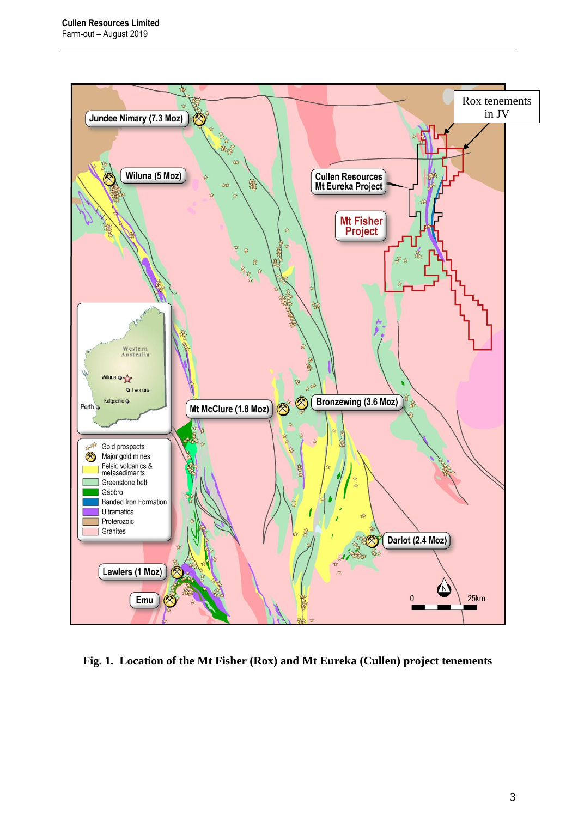

**Fig. 1. Location of the Mt Fisher (Rox) and Mt Eureka (Cullen) project tenements**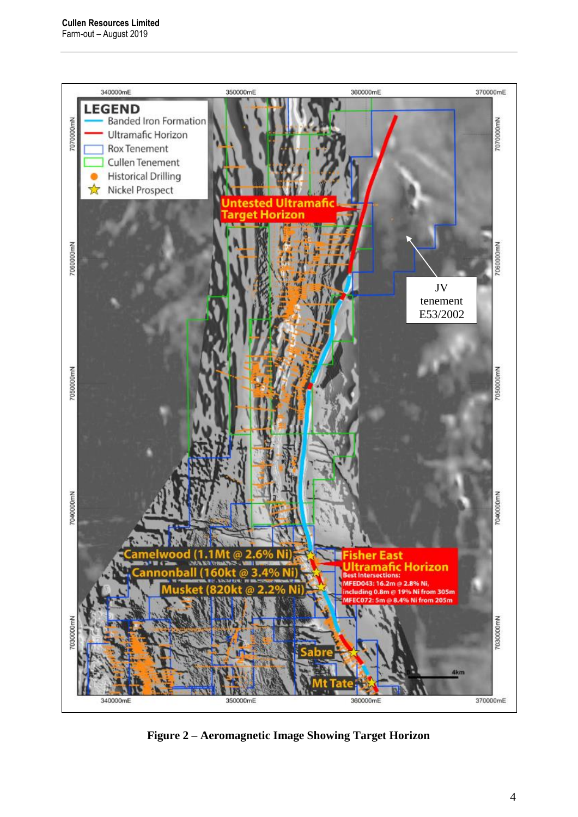

**Figure 2 – Aeromagnetic Image Showing Target Horizon**